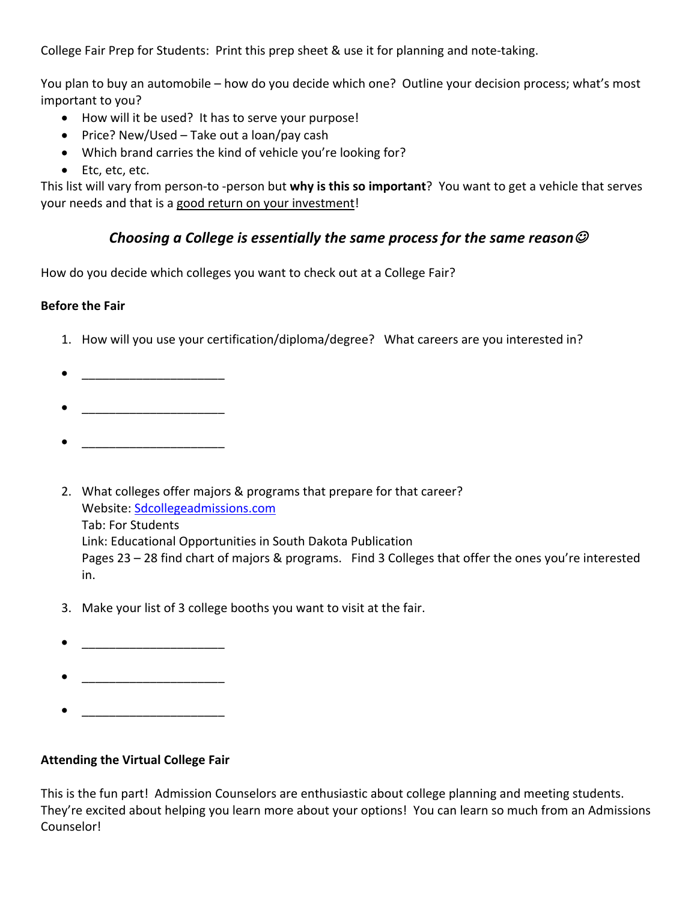College Fair Prep for Students: Print this prep sheet & use it for planning and note-taking.

You plan to buy an automobile – how do you decide which one? Outline your decision process; what's most important to you?

- How will it be used? It has to serve your purpose!
- Price? New/Used Take out a loan/pay cash
- Which brand carries the kind of vehicle you're looking for?
- Etc, etc, etc.

This list will vary from person-to -person but **why is this so important**? You want to get a vehicle that serves your needs and that is a good return on your investment!

## *Choosing a College is essentially the same process for the same reason* $\mathcal{O}$

How do you decide which colleges you want to check out at a College Fair?

## **Before the Fair**

- 1. How will you use your certification/diploma/degree? What careers are you interested in?
- 
- 
- $\bullet$   $\qquad$   $\qquad$   $\qquad$   $\qquad$   $\qquad$   $\qquad$   $\qquad$   $\qquad$   $\qquad$   $\qquad$   $\qquad$   $\qquad$   $\qquad$   $\qquad$   $\qquad$   $\qquad$   $\qquad$   $\qquad$   $\qquad$   $\qquad$   $\qquad$   $\qquad$   $\qquad$   $\qquad$   $\qquad$   $\qquad$   $\qquad$   $\qquad$   $\qquad$   $\qquad$   $\qquad$   $\qquad$   $\qquad$   $\qquad$   $\qquad$   $\qquad$
- 2. What colleges offer majors & programs that prepare for that career? Website: Sdcollegeadmissions.com Tab: For Students Link: Educational Opportunities in South Dakota Publication Pages 23 – 28 find chart of majors & programs. Find 3 Colleges that offer the ones you're interested in.
- 3. Make your list of 3 college booths you want to visit at the fair.
- 
- 
- \_\_\_\_\_\_\_\_\_\_\_\_\_\_\_\_\_\_\_\_\_

## **Attending the Virtual College Fair**

This is the fun part! Admission Counselors are enthusiastic about college planning and meeting students. They're excited about helping you learn more about your options! You can learn so much from an Admissions Counselor!